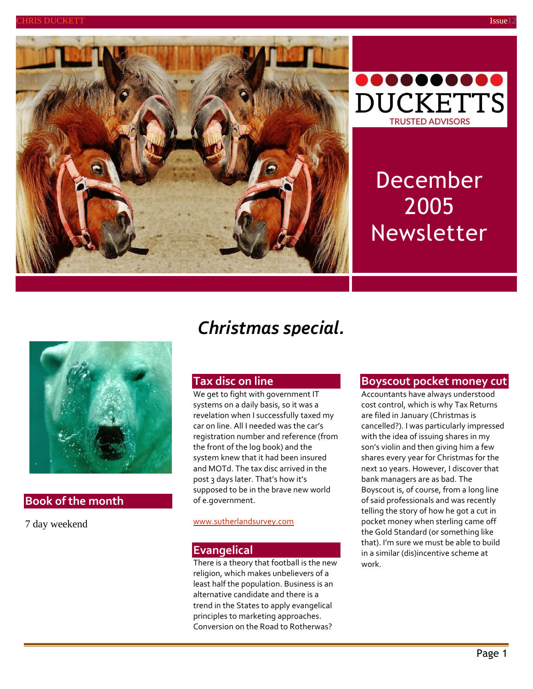



**December** 2005 Newsletter



# **Book of the month**

7 day weekend

# *Christmas special.*

### **Tax disc on line**

We get to fight with government IT systems on a daily basis, so it was a revelation when I successfully taxed my car on line. All I needed was the car's registration number and reference (from the front of the log book) and the system knew that it had been insured and MOTd. The tax disc arrived in the post 3 days later. That's how it's supposed to be in the brave new world of e.government.

#### [www.sutherlandsurvey.com](http://www.sutherlandsurvey.com/)

#### **Evangelical**

There is a theory that football is the new religion, which makes unbelievers of a least half the population. Business is an alternative candidate and there is a trend in the States to apply evangelical principles to marketing approaches. Conversion on the Road to Rotherwas?

#### **Boyscout pocket money cut**

Accountants have always understood cost control, which is why Tax Returns are filed in January (Christmas is cancelled?). I was particularly impressed with the idea of issuing shares in my son's violin and then giving him a few shares every year for Christmas for the next 10 years. However, I discover that bank managers are as bad. The Boyscout is, of course, from a long line of said professionals and was recently telling the story of how he got a cut in pocket money when sterling came off the Gold Standard (or something like that). I'm sure we must be able to build in a similar (dis)incentive scheme at work.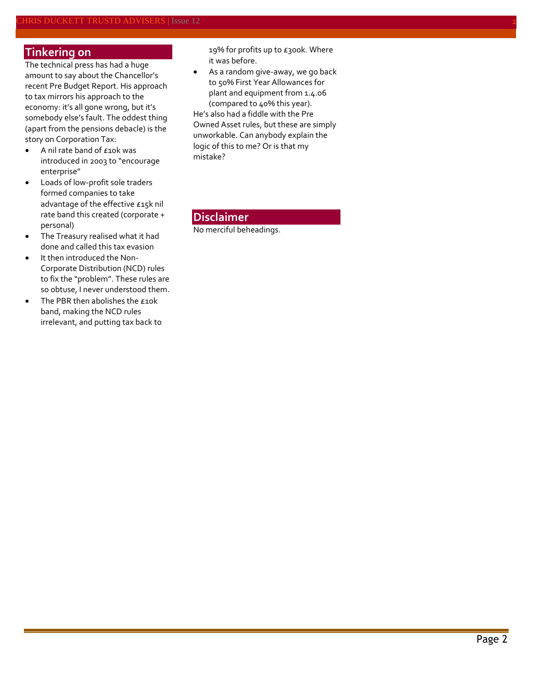## **Tinkering on**

The technical press has had a huge amount to say about the Chancellor's recent Pre Budget Report. His approach to tax mirrors his approach to the economy: it's all gone wrong, but it's somebody else's fault. The oddest thing (apart from the pensions debacle) is the story on Corporation Tax:

- A nil rate band of £10k was introduced in 2003 to "encourage enterprise"
- Loads of low-profit sole traders formed companies to take advantage of the effective £15k nil rate band this created (corporate + personal)
- The Treasury realised what it had done and called this tax evasion
- It then introduced the Non-Corporate Distribution (NCD) rules to fix the "problem". These rules are so obtuse, I never understood them.
- The PBR then abolishes the £10k band, making the NCD rules irrelevant, and putting tax back to

19% for profits up to £300k. Where it was before.

 As a random give-away, we go back to 50% First Year Allowances for plant and equipment from 1.4.06 (compared to 40% this year). He's also had a fiddle with the Pre Owned Asset rules, but these are simply unworkable. Can anybody explain the logic of this to me? Or is that my mistake?

#### **Disclaimer**

No merciful beheadings.